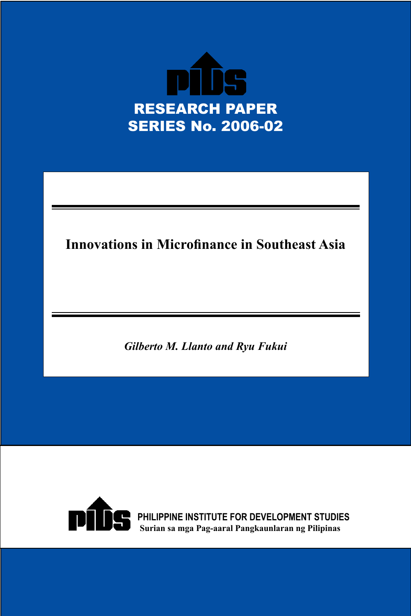

# **Innovations in Microfinance in Southeast Asia**

*Gilberto M. Llanto and Ryu Fukui*

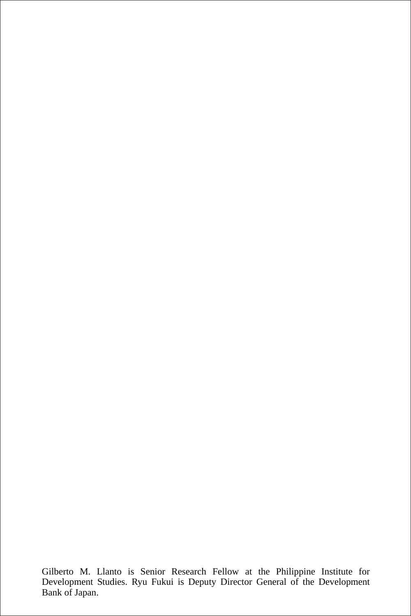Gilberto M. Llanto is Senior Research Fellow at the Philippine Institute for Development Studies. Ryu Fukui is Deputy Director General of the Development Bank of Japan.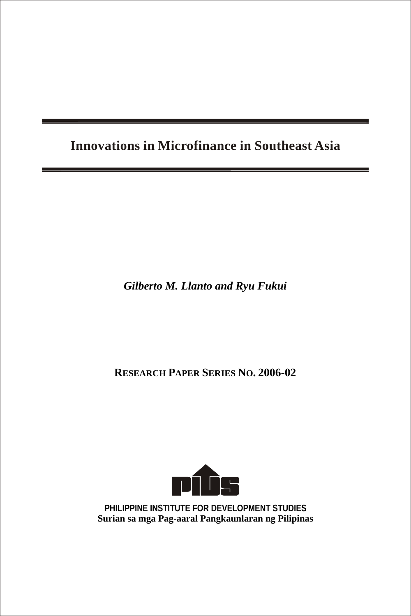## **Innovations in Microfinance in Southeast Asia**

*Gilberto M. Llanto and Ryu Fukui*

**RESEARCH PAPER SERIES NO. 2006-02**



**PHILIPPINE INSTITUTE FOR DEVELOPMENT STUDIES Surian sa mga Pag-aaral Pangkaunlaran ng Pilipinas**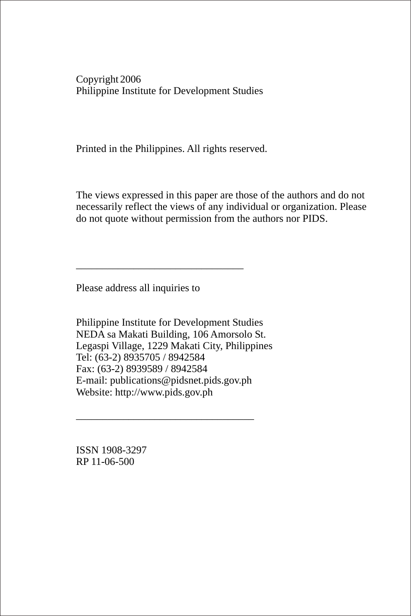Copyright 2006 Philippine Institute for Development Studies

Printed in the Philippines. All rights reserved.

The views expressed in this paper are those of the authors and do not necessarily reflect the views of any individual or organization. Please do not quote without permission from the authors nor PIDS.

Please address all inquiries to

\_\_\_\_\_\_\_\_\_\_\_\_\_\_\_\_\_\_\_\_\_\_\_\_\_\_\_\_\_\_\_\_

Philippine Institute for Development Studies NEDA sa Makati Building, 106 Amorsolo St. Legaspi Village, 1229 Makati City, Philippines Tel: (63-2) 8935705 / 8942584 Fax: (63-2) 8939589 / 8942584 E-mail: publications@pidsnet.pids.gov.ph Website: http://www.pids.gov.ph

\_\_\_\_\_\_\_\_\_\_\_\_\_\_\_\_\_\_\_\_\_\_\_\_\_\_\_\_\_\_\_\_\_\_

ISSN 1908-3297 RP 11-06-500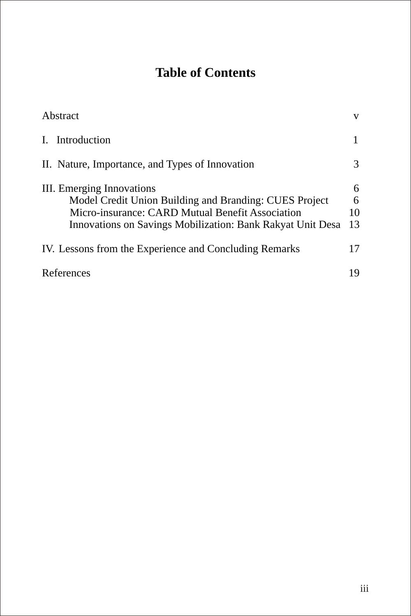# **Table of Contents**

| Abstract                                                                                                                                                                                              | V                  |
|-------------------------------------------------------------------------------------------------------------------------------------------------------------------------------------------------------|--------------------|
| I. Introduction                                                                                                                                                                                       |                    |
| II. Nature, Importance, and Types of Innovation                                                                                                                                                       | 3                  |
| III. Emerging Innovations<br>Model Credit Union Building and Branding: CUES Project<br>Micro-insurance: CARD Mutual Benefit Association<br>Innovations on Savings Mobilization: Bank Rakyat Unit Desa | 6<br>6<br>10<br>13 |
| IV. Lessons from the Experience and Concluding Remarks                                                                                                                                                | 17                 |
| References                                                                                                                                                                                            | 19                 |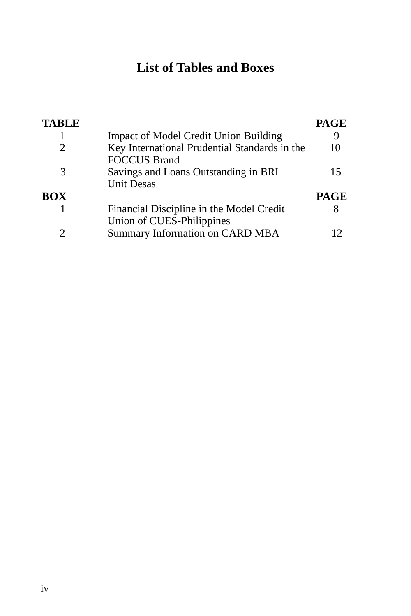## **List of Tables and Boxes**

| <b>TABLE</b> |                                                                       | <b>PAGE</b> |
|--------------|-----------------------------------------------------------------------|-------------|
|              | <b>Impact of Model Credit Union Building</b>                          |             |
| 2            | Key International Prudential Standards in the<br><b>FOCCUS Brand</b>  | 10          |
| 3            | Savings and Loans Outstanding in BRI<br><b>Unit Desas</b>             | 15          |
| BOX          |                                                                       | <b>PAGE</b> |
|              | Financial Discipline in the Model Credit<br>Union of CUES-Philippines |             |
| 2            | Summary Information on CARD MBA                                       |             |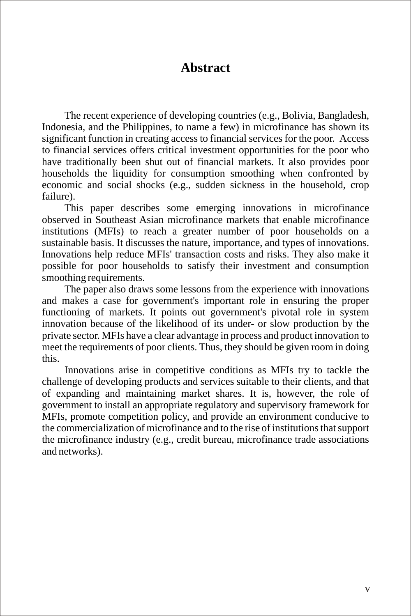## **Abstract**

The recent experience of developing countries (e.g., Bolivia, Bangladesh, Indonesia, and the Philippines, to name a few) in microfinance has shown its significant function in creating access to financial services for the poor. Access to financial services offers critical investment opportunities for the poor who have traditionally been shut out of financial markets. It also provides poor households the liquidity for consumption smoothing when confronted by economic and social shocks (e.g., sudden sickness in the household, crop failure).

This paper describes some emerging innovations in microfinance observed in Southeast Asian microfinance markets that enable microfinance institutions (MFIs) to reach a greater number of poor households on a sustainable basis. It discusses the nature, importance, and types of innovations. Innovations help reduce MFIs' transaction costs and risks. They also make it possible for poor households to satisfy their investment and consumption smoothing requirements.

The paper also draws some lessons from the experience with innovations and makes a case for government's important role in ensuring the proper functioning of markets. It points out government's pivotal role in system innovation because of the likelihood of its under- or slow production by the private sector. MFIs have a clear advantage in process and product innovation to meet the requirements of poor clients. Thus, they should be given room in doing this.

Innovations arise in competitive conditions as MFIs try to tackle the challenge of developing products and services suitable to their clients, and that of expanding and maintaining market shares. It is, however, the role of government to install an appropriate regulatory and supervisory framework for MFIs, promote competition policy, and provide an environment conducive to the commercialization of microfinance and to the rise of institutions that support the microfinance industry (e.g., credit bureau, microfinance trade associations and networks).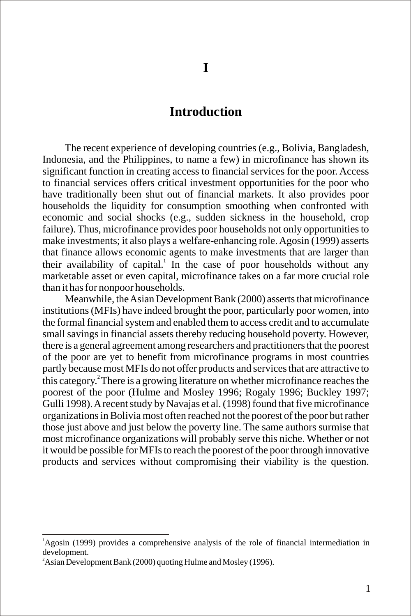## **Introduction**

The recent experience of developing countries (e.g., Bolivia, Bangladesh, Indonesia, and the Philippines, to name a few) in microfinance has shown its significant function in creating access to financial services for the poor. Access to financial services offers critical investment opportunities for the poor who have traditionally been shut out of financial markets. It also provides poor households the liquidity for consumption smoothing when confronted with economic and social shocks (e.g., sudden sickness in the household, crop failure). Thus, microfinance provides poor households not only opportunities to make investments; it also plays a welfare-enhancing role. Agosin (1999) asserts that finance allows economic agents to make investments that are larger than their availability of capital.<sup>1</sup> In the case of poor households without any marketable asset or even capital, microfinance takes on a far more crucial role than it has for nonpoor households.

Meanwhile, the Asian Development Bank (2000) asserts that microfinance institutions (MFIs) have indeed brought the poor, particularly poor women, into the formal financial system and enabled them to access credit and to accumulate small savings in financial assets thereby reducing household poverty. However, there is a general agreement among researchers and practitioners that the poorest of the poor are yet to benefit from microfinance programs in most countries partly because most MFIs do not offer products and services that are attractive to this category.<sup>2</sup> There is a growing literature on whether microfinance reaches the poorest of the poor (Hulme and Mosley 1996; Rogaly 1996; Buckley 1997; Gulli 1998). A recent study by Navajas et al. (1998) found that five microfinance organizations in Bolivia most often reached not the poorest of the poor but rather those just above and just below the poverty line. The same authors surmise that most microfinance organizations will probably serve this niche. Whether or not it would be possible for MFIs to reach the poorest of the poor through innovative products and services without compromising their viability is the question.

<sup>1</sup>Agosin (1999) provides a comprehensive analysis of the role of financial intermediation in development.

 $^{2}$ Asian Development Bank (2000) quoting Hulme and Mosley (1996).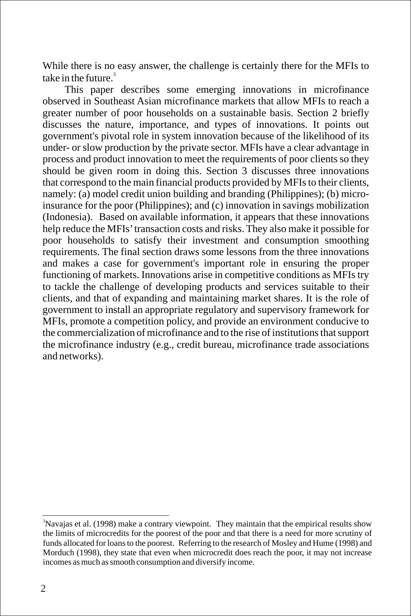While there is no easy answer, the challenge is certainly there for the MFIs to take in the future. $^3$ 

This paper describes some emerging innovations in microfinance observed in Southeast Asian microfinance markets that allow MFIs to reach a greater number of poor households on a sustainable basis. Section 2 briefly discusses the nature, importance, and types of innovations. It points out government's pivotal role in system innovation because of the likelihood of its under- or slow production by the private sector. MFIs have a clear advantage in process and product innovation to meet the requirements of poor clients so they should be given room in doing this. Section 3 discusses three innovations that correspond to the main financial products provided by MFIs to their clients, namely: (a) model credit union building and branding (Philippines); (b) microinsurance for the poor (Philippines); and (c) innovation in savings mobilization (Indonesia). Based on available information, it appears that these innovations help reduce the MFIs' transaction costs and risks. They also make it possible for poor households to satisfy their investment and consumption smoothing requirements. The final section draws some lessons from the three innovations and makes a case for government's important role in ensuring the proper functioning of markets. Innovations arise in competitive conditions as MFIs try to tackle the challenge of developing products and services suitable to their clients, and that of expanding and maintaining market shares. It is the role of government to install an appropriate regulatory and supervisory framework for MFIs, promote a competition policy, and provide an environment conducive to the commercialization of microfinance and to the rise of institutions that support the microfinance industry (e.g., credit bureau, microfinance trade associations and networks).

<sup>&</sup>lt;sup>3</sup>Navajas et al. (1998) make a contrary viewpoint. They maintain that the empirical results show the limits of microcredits for the poorest of the poor and that there is a need for more scrutiny of funds allocated for loans to the poorest. Referring to the research of Mosley and Hume (1998) and Morduch (1998), they state that even when microcredit does reach the poor, it may not increase incomes as much as smooth consumption and diversify income.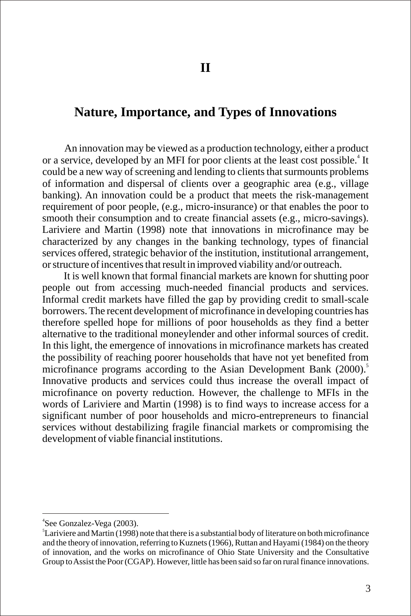### **Nature, Importance, and Types of Innovations**

An innovation may be viewed as a production technology, either a product or a service, developed by an MFI for poor clients at the least cost possible.<sup>4</sup> It could be a new way of screening and lending to clients that surmounts problems of information and dispersal of clients over a geographic area (e.g., village banking). An innovation could be a product that meets the risk-management requirement of poor people, (e.g., micro-insurance) or that enables the poor to smooth their consumption and to create financial assets (e.g., micro-savings). Lariviere and Martin (1998) note that innovations in microfinance may be characterized by any changes in the banking technology, types of financial services offered, strategic behavior of the institution, institutional arrangement, or structure of incentives that result in improved viability and/or outreach.

It is well known that formal financial markets are known for shutting poor people out from accessing much-needed financial products and services. Informal credit markets have filled the gap by providing credit to small-scale borrowers. The recent development of microfinance in developing countries has therefore spelled hope for millions of poor households as they find a better alternative to the traditional moneylender and other informal sources of credit. In this light, the emergence of innovations in microfinance markets has created the possibility of reaching poorer households that have not yet benefited from microfinance programs according to the Asian Development Bank (2000).<sup>5</sup> Innovative products and services could thus increase the overall impact of microfinance on poverty reduction. However, the challenge to MFIs in the words of Lariviere and Martin (1998) is to find ways to increase access for a significant number of poor households and micro-entrepreneurs to financial services without destabilizing fragile financial markets or compromising the development of viable financial institutions.

<sup>4</sup> See Gonzalez-Vega (2003).

<sup>5</sup> Lariviere and Martin (1998) note that there is a substantial body of literature on both microfinance and the theory of innovation, referring to Kuznets (1966), Ruttan and Hayami (1984) on the theory of innovation, and the works on microfinance of Ohio State University and the Consultative Group to Assist the Poor (CGAP). However, little has been said so far on rural finance innovations.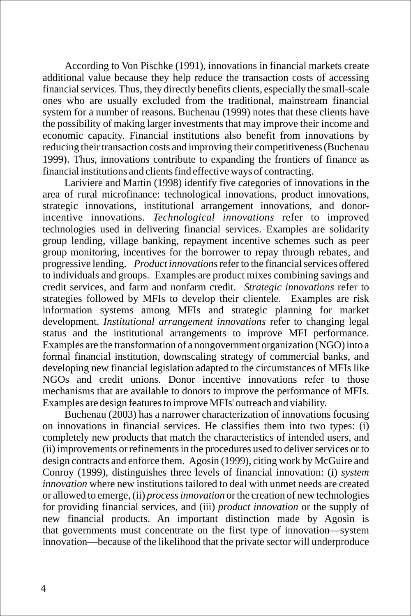According to Von Pischke (1991), innovations in financial markets create additional value because they help reduce the transaction costs of accessing financial services. Thus, they directly benefits clients, especially the small-scale ones who are usually excluded from the traditional, mainstream financial system for a number of reasons. Buchenau (1999) notes that these clients have the possibility of making larger investments that may improve their income and economic capacity. Financial institutions also benefit from innovations by reducing their transaction costs and improving their competitiveness (Buchenau 1999). Thus, innovations contribute to expanding the frontiers of finance as financial institutions and clients find effective ways of contracting.

Lariviere and Martin (1998) identify five categories of innovations in the area of rural microfinance: technological innovations, product innovations, strategic innovations, institutional arrangement innovations, and donorincentive innovations. *Technological innovations* refer to improved technologies used in delivering financial services. Examples are solidarity group lending, village banking, repayment incentive schemes such as peer group monitoring, incentives for the borrower to repay through rebates, and progressive lending. *Product innovations* refer to the financial services offered to individuals and groups. Examples are product mixes combining savings and credit services, and farm and nonfarm credit. *Strategic innovations* refer to strategies followed by MFIs to develop their clientele. Examples are risk information systems among MFIs and strategic planning for market development. *Institutional arrangement innovations* refer to changing legal status and the institutional arrangements to improve MFI performance. Examples are the transformation of a nongovernment organization (NGO) into a formal financial institution, downscaling strategy of commercial banks, and developing new financial legislation adapted to the circumstances of MFIs like NGOs and credit unions. Donor incentive innovations refer to those mechanisms that are available to donors to improve the performance of MFIs. Examples are design features to improve MFIs' outreach and viability.

Buchenau (2003) has a narrower characterization of innovations focusing on innovations in financial services. He classifies them into two types: (i) completely new products that match the characteristics of intended users, and (ii) improvements or refinements in the procedures used to deliver services or to design contracts and enforce them. Agosin (1999), citing work by McGuire and Conroy (1999), distinguishes three levels of financial innovation: (i) *system innovation* where new institutions tailored to deal with unmet needs are created or allowed to emerge, (ii) *process innovation* or the creation of new technologies for providing financial services, and (iii) *product innovation* or the supply of new financial products. An important distinction made by Agosin is that governments must concentrate on the first type of innovation—system innovation—because of the likelihood that the private sector will underproduce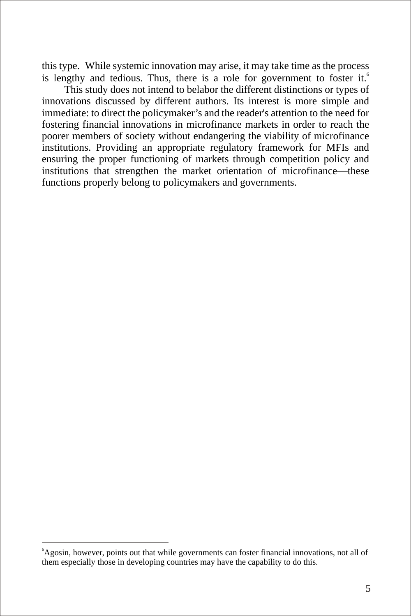this type. While systemic innovation may arise, it may take time as the process is lengthy and tedious. Thus, there is a role for government to foster it.<sup>6</sup>

This study does not intend to belabor the different distinctions or types of innovations discussed by different authors. Its interest is more simple and immediate: to direct the policymaker's and the reader's attention to the need for fostering financial innovations in microfinance markets in order to reach the poorer members of society without endangering the viability of microfinance institutions. Providing an appropriate regulatory framework for MFIs and ensuring the proper functioning of markets through competition policy and institutions that strengthen the market orientation of microfinance—these functions properly belong to policymakers and governments.

<sup>&</sup>lt;sup>6</sup>Agosin, however, points out that while governments can foster financial innovations, not all of them especially those in developing countries may have the capability to do this.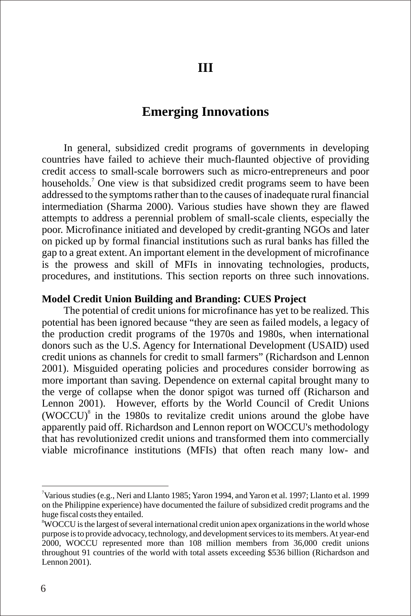## **Emerging Innovations**

In general, subsidized credit programs of governments in developing countries have failed to achieve their much-flaunted objective of providing credit access to small-scale borrowers such as micro-entrepreneurs and poor households.<sup>7</sup> One view is that subsidized credit programs seem to have been addressed to the symptoms rather than to the causes of inadequate rural financial intermediation (Sharma 2000). Various studies have shown they are flawed attempts to address a perennial problem of small-scale clients, especially the poor. Microfinance initiated and developed by credit-granting NGOs and later on picked up by formal financial institutions such as rural banks has filled the gap to a great extent. An important element in the development of microfinance is the prowess and skill of MFIs in innovating technologies, products, procedures, and institutions. This section reports on three such innovations.

#### **Model Credit Union Building and Branding: CUES Project**

The potential of credit unions for microfinance has yet to be realized. This potential has been ignored because "they are seen as failed models, a legacy of the production credit programs of the 1970s and 1980s, when international donors such as the U.S. Agency for International Development (USAID) used credit unions as channels for credit to small farmers" (Richardson and Lennon 2001). Misguided operating policies and procedures consider borrowing as more important than saving. Dependence on external capital brought many to the verge of collapse when the donor spigot was turned off (Richarson and Lennon 2001). However, efforts by the World Council of Credit Unions  $(WOCCU)^8$  in the 1980s to revitalize credit unions around the globe have apparently paid off. Richardson and Lennon report on WOCCU's methodology that has revolutionized credit unions and transformed them into commercially viable microfinance institutions (MFIs) that often reach many low- and

<sup>7</sup>Various studies (e.g., Neri and Llanto 1985; Yaron 1994, and Yaron et al. 1997; Llanto et al. 1999 on the Philippine experience) have documented the failure of subsidized credit programs and the huge fiscal costs they entailed.

<sup>&</sup>lt;sup>8</sup>WOCCU is the largest of several international credit union apex organizations in the world whose purpose is to provide advocacy, technology, and development services to its members. At year-end 2000, WOCCU represented more than 108 million members from 36,000 credit unions throughout 91 countries of the world with total assets exceeding \$536 billion (Richardson and Lennon 2001).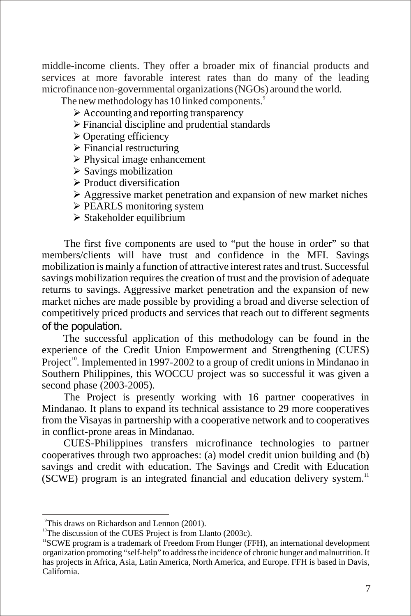middle-income clients. They offer a broader mix of financial products and services at more favorable interest rates than do many of the leading microfinance non-governmental organizations (NGOs) around the world.

The new methodology has 10 linked components.<sup>9</sup>

- $\triangleright$  Accounting and reporting transparency
- $\triangleright$  Financial discipline and prudential standards
- $\triangleright$  Operating efficiency
- $\triangleright$  Financial restructuring
- $\triangleright$  Physical image enhancement
- $\triangleright$  Savings mobilization
- $\triangleright$  Product diversification
- $\triangleright$  Aggressive market penetration and expansion of new market niches
- $\triangleright$  PEARLS monitoring system
- $\triangleright$  Stakeholder equilibrium

The first five components are used to "put the house in order" so that members/clients will have trust and confidence in the MFI. Savings mobilization is mainly a function of attractive interest rates and trust. Successful savings mobilization requires the creation of trust and the provision of adequate returns to savings. Aggressive market penetration and the expansion of new market niches are made possible by providing a broad and diverse selection of competitively priced products and services that reach out to different segments of the population.

The successful application of this methodology can be found in the experience of the Credit Union Empowerment and Strengthening (CUES) Project<sup>10</sup>. Implemented in 1997-2002 to a group of credit unions in Mindanao in Southern Philippines, this WOCCU project was so successful it was given a second phase (2003-2005).

The Project is presently working with 16 partner cooperatives in Mindanao. It plans to expand its technical assistance to 29 more cooperatives from the Visayas in partnership with a cooperative network and to cooperatives in conflict-prone areas in Mindanao.

CUES-Philippines transfers microfinance technologies to partner cooperatives through two approaches: (a) model credit union building and (b) savings and credit with education. The Savings and Credit with Education  $(SCWE)$  program is an integrated financial and education delivery system.<sup>11</sup>

<sup>9</sup>This draws on Richardson and Lennon (2001).

 $10$ <sup>10</sup>The discussion of the CUES Project is from Llanto (2003c).

<sup>&</sup>lt;sup>11</sup>SCWE program is a trademark of Freedom From Hunger (FFH), an international development organization promoting "self-help" to address the incidence of chronic hunger and malnutrition. It has projects in Africa, Asia, Latin America, North America, and Europe. FFH is based in Davis, California.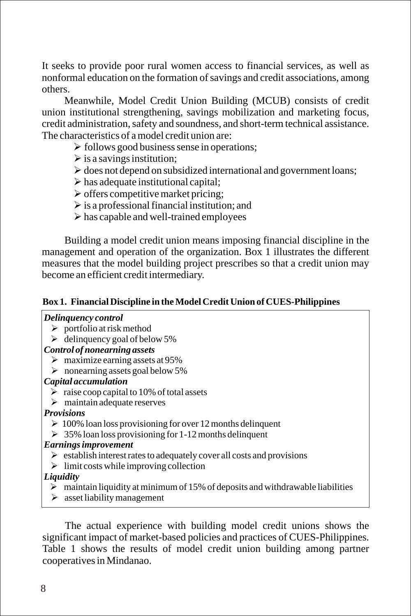It seeks to provide poor rural women access to financial services, as well as nonformal education on the formation of savings and credit associations, among others.

Meanwhile, Model Credit Union Building (MCUB) consists of credit union institutional strengthening, savings mobilization and marketing focus, credit administration, safety and soundness, and short-term technical assistance. The characteristics of a model credit union are:

- $\triangleright$  follows good business sense in operations;
- $\triangleright$  is a savings institution;
- $\triangleright$  does not depend on subsidized international and government loans;
- $\triangleright$  has adequate institutional capital;
- $\triangleright$  offers competitive market pricing;
- $\triangleright$  is a professional financial institution; and
- $\triangleright$  has capable and well-trained employees

Building a model credit union means imposing financial discipline in the management and operation of the organization. Box 1 illustrates the different measures that the model building project prescribes so that a credit union may become an efficient credit intermediary.

#### **Box 1. Financial Discipline in the Model Credit Union of CUES-Philippines**

#### *Delinquency control*

- $\triangleright$  portfolio at risk method
- $\geq$  delinquency goal of below 5%

#### *Control of nonearning assets*

- $\triangleright$  maximize earning assets at 95%
- $\triangleright$  nonearning assets goal below 5%

#### *Capital accumulation*

- $\triangleright$  raise coop capital to 10% of total assets
- $\triangleright$  maintain adequate reserves

#### *Provisions*

- $\geq 100\%$  loan loss provisioning for over 12 months delinquent
- $\geq 35\%$  loan loss provisioning for 1-12 months delinquent

#### *Earnings improvement*

- $\triangleright$  establish interest rates to adequately cover all costs and provisions
- $\triangleright$  limit costs while improving collection

#### *Liquidity*

- $\triangleright$  maintain liquidity at minimum of 15% of deposits and withdrawable liabilities
- $\geq$  asset liability management

The actual experience with building model credit unions shows the significant impact of market-based policies and practices of CUES-Philippines. Table 1 shows the results of model credit union building among partner cooperatives in Mindanao.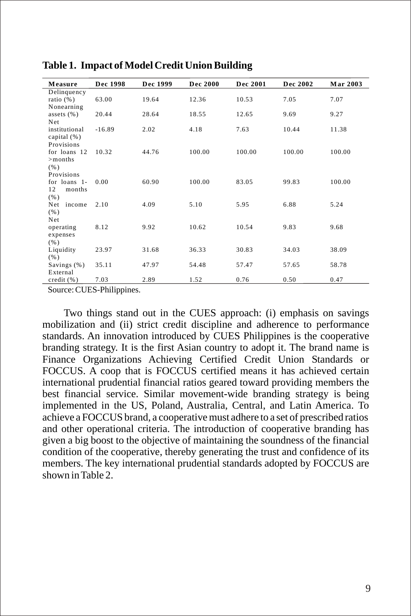| Measure               | Dec 1998 | Dec 1999 | Dec 2000 | Dec 2001 | Dec 2002 | <b>Mar 2003</b> |
|-----------------------|----------|----------|----------|----------|----------|-----------------|
| Delinquency           |          |          |          |          |          |                 |
| ratio $(\%)$          | 63.00    | 19.64    | 12.36    | 10.53    | 7.05     | 7.07            |
| Nonearning            |          |          |          |          |          |                 |
| assets $(\% )$<br>Net | 20.44    | 28.64    | 18.55    | 12.65    | 9.69     | 9.27            |
| institutional         | $-16.89$ | 2.02     | 4.18     | 7.63     | 10.44    | 11.38           |
| capital $(\% )$       |          |          |          |          |          |                 |
| Provisions            |          |          |          |          |          |                 |
| for loans 12          | 10.32    | 44.76    | 100.00   | 100.00   | 100.00   | 100.00          |
| $>$ months            |          |          |          |          |          |                 |
| (% )                  |          |          |          |          |          |                 |
| Provisions            |          |          |          |          |          |                 |
| for loans 1-          | 0.00     | 60.90    | 100.00   | 83.05    | 99.83    | 100.00          |
| 12<br>months          |          |          |          |          |          |                 |
| (% )                  |          |          |          |          |          |                 |
| Net<br>income         | 2.10     | 4.09     | 5.10     | 5.95     | 6.88     | 5.24            |
| (% )                  |          |          |          |          |          |                 |
| Net                   |          |          |          |          |          |                 |
| operating             | 8.12     | 9.92     | 10.62    | 10.54    | 9.83     | 9.68            |
| expenses              |          |          |          |          |          |                 |
| (% )                  |          |          |          |          |          |                 |
| Liquidity             | 23.97    | 31.68    | 36.33    | 30.83    | 34.03    | 38.09           |
| (% )                  |          |          |          |          |          |                 |
| Savings (%)           | 35.11    | 47.97    | 54.48    | 57.47    | 57.65    | 58.78           |
| External              |          |          |          |          |          |                 |
| credit(%)             | 7.03     | 2.89     | 1.52     | 0.76     | 0.50     | 0.47            |

**Table 1. Impact of Model Credit Union Building**

Source: CUES-Philippines.

Two things stand out in the CUES approach: (i) emphasis on savings mobilization and (ii) strict credit discipline and adherence to performance standards. An innovation introduced by CUES Philippines is the cooperative branding strategy. It is the first Asian country to adopt it. The brand name is Finance Organizations Achieving Certified Credit Union Standards or FOCCUS. A coop that is FOCCUS certified means it has achieved certain international prudential financial ratios geared toward providing members the best financial service. Similar movement-wide branding strategy is being implemented in the US, Poland, Australia, Central, and Latin America. To achieve a FOCCUS brand, a cooperative must adhere to a set of prescribed ratios and other operational criteria. The introduction of cooperative branding has given a big boost to the objective of maintaining the soundness of the financial condition of the cooperative, thereby generating the trust and confidence of its members. The key international prudential standards adopted by FOCCUS are shown in Table 2.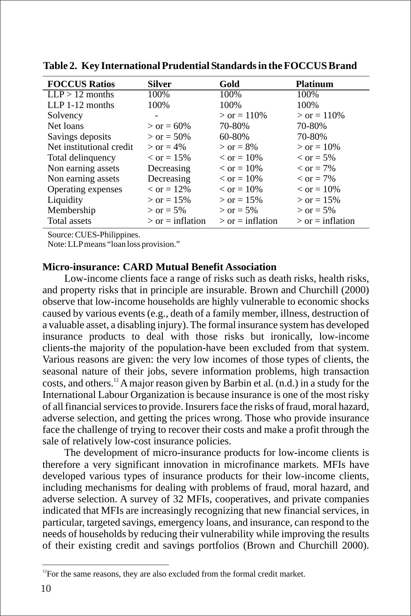| <b>FOCCUS Ratios</b>     | Silver                    | Gold                      | <b>Platinum</b>           |
|--------------------------|---------------------------|---------------------------|---------------------------|
| $LLP > 12$ months        | 100%                      | 100\%                     | 100%                      |
| $LLP$ 1-12 months        | 100%                      | 100\%                     | 100%                      |
| Solvency                 |                           | $>$ or = 110\%            | $>$ or = 110\%            |
| Net loans                | $>$ or = 60%              | 70-80%                    | 70-80%                    |
| Savings deposits         | $>$ or = 50%              | 60-80%                    | 70-80%                    |
| Net institutional credit | $>$ or = 4%               | $>$ or = 8%               | $>$ or = 10%              |
| Total delinquency        | $\epsilon$ or = 15%       | $\epsilon$ or = 10%       | $\epsilon$ or = 5%        |
| Non earning assets       | Decreasing                | $\epsilon$ or = 10%       | $\epsilon$ or = 7%        |
| Non earning assets       | Decreasing                | $\epsilon$ or = 10%       | $\epsilon$ or = 7%        |
| Operating expenses       | $\epsilon$ or = 12%       | $\epsilon$ or = 10%       | $\epsilon$ or = 10%       |
| Liquidity                | $>$ or = 15%              | $>$ or = 15%              | $>$ or = 15%              |
| Membership               | $>$ or = 5%               | $>$ or = 5%               | $>$ or = 5%               |
| Total assets             | $\epsilon$ or = inflation | $\epsilon$ or = inflation | $\epsilon$ or = inflation |

**Table 2. Key International Prudential Standards in the FOCCUS Brand**

Source: CUES-Philippines.

Note: LLP means "loan loss provision."

#### **Micro-insurance: CARD Mutual Benefit Association**

Low-income clients face a range of risks such as death risks, health risks, and property risks that in principle are insurable. Brown and Churchill (2000) observe that low-income households are highly vulnerable to economic shocks caused by various events (e.g., death of a family member, illness, destruction of a valuable asset, a disabling injury). The formal insurance system has developed insurance products to deal with those risks but ironically, low-income clients-the majority of the population-have been excluded from that system. Various reasons are given: the very low incomes of those types of clients, the seasonal nature of their jobs, severe information problems, high transaction costs, and others. <sup>12</sup> A major reason given by Barbin et al.  $(n,d)$  in a study for the International Labour Organization is because insurance is one of the most risky of all financial services to provide. Insurers face the risks of fraud, moral hazard, adverse selection, and getting the prices wrong. Those who provide insurance face the challenge of trying to recover their costs and make a profit through the sale of relatively low-cost insurance policies.

The development of micro-insurance products for low-income clients is therefore a very significant innovation in microfinance markets. MFIs have developed various types of insurance products for their low-income clients, including mechanisms for dealing with problems of fraud, moral hazard, and adverse selection. A survey of 32 MFIs, cooperatives, and private companies indicated that MFIs are increasingly recognizing that new financial services, in particular, targeted savings, emergency loans, and insurance, can respond to the needs of households by reducing their vulnerability while improving the results of their existing credit and savings portfolios (Brown and Churchill 2000).

 $12$ For the same reasons, they are also excluded from the formal credit market.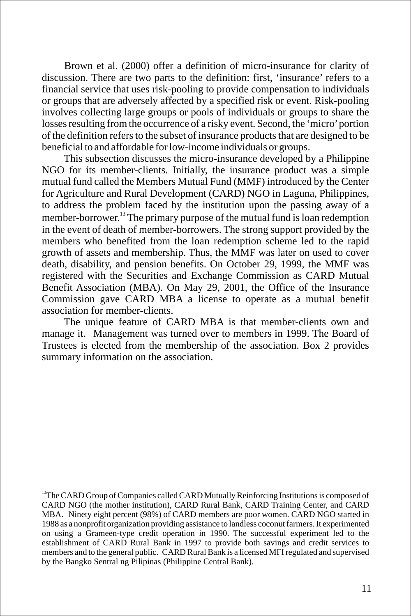Brown et al. (2000) offer a definition of micro-insurance for clarity of discussion. There are two parts to the definition: first, 'insurance' refers to a financial service that uses risk-pooling to provide compensation to individuals or groups that are adversely affected by a specified risk or event. Risk-pooling involves collecting large groups or pools of individuals or groups to share the losses resulting from the occurrence of a risky event. Second, the 'micro' portion of the definition refers to the subset of insurance products that are designed to be beneficial to and affordable for low-income individuals or groups.

This subsection discusses the micro-insurance developed by a Philippine NGO for its member-clients. Initially, the insurance product was a simple mutual fund called the Members Mutual Fund (MMF) introduced by the Center for Agriculture and Rural Development (CARD) NGO in Laguna, Philippines, to address the problem faced by the institution upon the passing away of a member-borrower.<sup>13</sup> The primary purpose of the mutual fund is loan redemption in the event of death of member-borrowers. The strong support provided by the members who benefited from the loan redemption scheme led to the rapid growth of assets and membership. Thus, the MMF was later on used to cover death, disability, and pension benefits. On October 29, 1999, the MMF was registered with the Securities and Exchange Commission as CARD Mutual Benefit Association (MBA). On May 29, 2001, the Office of the Insurance Commission gave CARD MBA a license to operate as a mutual benefit association for member-clients.

The unique feature of CARD MBA is that member-clients own and manage it. Management was turned over to members in 1999. The Board of Trustees is elected from the membership of the association. Box 2 provides summary information on the association.

<sup>&</sup>lt;sup>13</sup>The CARD Group of Companies called CARD Mutually Reinforcing Institutions is composed of CARD NGO (the mother institution), CARD Rural Bank, CARD Training Center, and CARD MBA. Ninety eight percent (98%) of CARD members are poor women. CARD NGO started in 1988 as a nonprofit organization providing assistance to landless coconut farmers. It experimented on using a Grameen-type credit operation in 1990. The successful experiment led to the establishment of CARD Rural Bank in 1997 to provide both savings and credit services to members and to the general public. CARD Rural Bank is a licensed MFI regulated and supervised by the Bangko Sentral ng Pilipinas (Philippine Central Bank).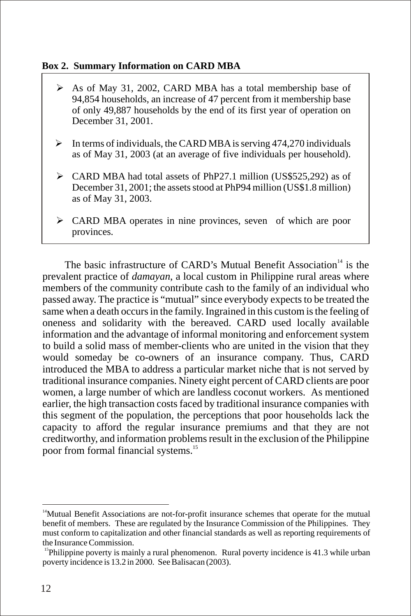#### **Box 2. Summary Information on CARD MBA**

- $\triangleright$  As of May 31, 2002, CARD MBA has a total membership base of 94,854 households, an increase of 47 percent from it membership base of only 49,887 households by the end of its first year of operation on December 31, 2001.
- $\triangleright$  In terms of individuals, the CARD MBA is serving 474,270 individuals as of May 31, 2003 (at an average of five individuals per household).
- Ø CARD MBA had total assets of PhP27.1 million (US\$525,292) as of December 31, 2001; the assets stood at PhP94 million (US\$1.8 million) as of May 31, 2003.
- Ø CARD MBA operates in nine provinces, seven of which are poor provinces.

The basic infrastructure of CARD's Mutual Benefit Association<sup>14</sup> is the prevalent practice of *damayan*, a local custom in Philippine rural areas where members of the community contribute cash to the family of an individual who passed away. The practice is "mutual" since everybody expects to be treated the same when a death occurs in the family. Ingrained in this custom is the feeling of oneness and solidarity with the bereaved. CARD used locally available information and the advantage of informal monitoring and enforcement system to build a solid mass of member-clients who are united in the vision that they would someday be co-owners of an insurance company. Thus, CARD introduced the MBA to address a particular market niche that is not served by traditional insurance companies. Ninety eight percent of CARD clients are poor women, a large number of which are landless coconut workers. As mentioned earlier, the high transaction costs faced by traditional insurance companies with this segment of the population, the perceptions that poor households lack the capacity to afford the regular insurance premiums and that they are not creditworthy, and information problems result in the exclusion of the Philippine poor from formal financial systems.<sup>15</sup>

 $14$ Mutual Benefit Associations are not-for-profit insurance schemes that operate for the mutual benefit of members. These are regulated by the Insurance Commission of the Philippines. They must conform to capitalization and other financial standards as well as reporting requirements of the Insurance Commission.

<sup>&</sup>lt;sup>15</sup>Philippine poverty is mainly a rural phenomenon. Rural poverty incidence is  $41.3$  while urban poverty incidence is 13.2 in 2000. See Balisacan (2003).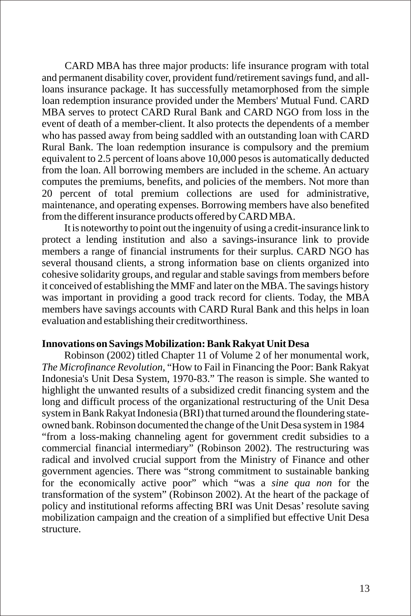CARD MBA has three major products: life insurance program with total and permanent disability cover, provident fund/retirement savings fund, and allloans insurance package. It has successfully metamorphosed from the simple loan redemption insurance provided under the Members' Mutual Fund. CARD MBA serves to protect CARD Rural Bank and CARD NGO from loss in the event of death of a member-client. It also protects the dependents of a member who has passed away from being saddled with an outstanding loan with CARD Rural Bank. The loan redemption insurance is compulsory and the premium equivalent to 2.5 percent of loans above 10,000 pesos is automatically deducted from the loan. All borrowing members are included in the scheme. An actuary computes the premiums, benefits, and policies of the members. Not more than 20 percent of total premium collections are used for administrative, maintenance, and operating expenses. Borrowing members have also benefited from the different insurance products offered by CARD MBA.

It is noteworthy to point out the ingenuity of using a credit-insurance link to protect a lending institution and also a savings-insurance link to provide members a range of financial instruments for their surplus. CARD NGO has several thousand clients, a strong information base on clients organized into cohesive solidarity groups, and regular and stable savings from members before it conceived of establishing the MMF and later on the MBA. The savings history was important in providing a good track record for clients. Today, the MBA members have savings accounts with CARD Rural Bank and this helps in loan evaluation and establishing their creditworthiness.

#### **Innovations on Savings Mobilization: Bank Rakyat Unit Desa**

Robinson (2002) titled Chapter 11 of Volume 2 of her monumental work, *The Microfinance Revolution*, "How to Fail in Financing the Poor: Bank Rakyat Indonesia's Unit Desa System, 1970-83." The reason is simple. She wanted to highlight the unwanted results of a subsidized credit financing system and the long and difficult process of the organizational restructuring of the Unit Desa system in Bank Rakyat Indonesia (BRI) that turned around the floundering stateowned bank. Robinson documented the change of the Unit Desa system in 1984 "from a loss-making channeling agent for government credit subsidies to a commercial financial intermediary" (Robinson 2002). The restructuring was radical and involved crucial support from the Ministry of Finance and other government agencies. There was "strong commitment to sustainable banking for the economically active poor" which "was a *sine qua non* for the transformation of the system" (Robinson 2002). At the heart of the package of policy and institutional reforms affecting BRI was Unit Desas' resolute saving mobilization campaign and the creation of a simplified but effective Unit Desa structure.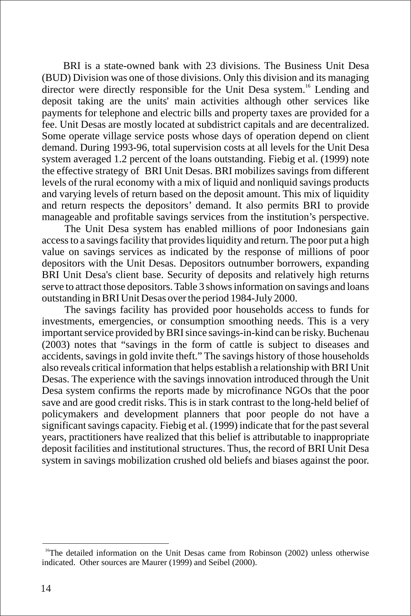BRI is a state-owned bank with 23 divisions. The Business Unit Desa (BUD) Division was one of those divisions. Only this division and its managing director were directly responsible for the Unit Desa system.<sup>16</sup> Lending and deposit taking are the units' main activities although other services like payments for telephone and electric bills and property taxes are provided for a fee. Unit Desas are mostly located at subdistrict capitals and are decentralized. Some operate village service posts whose days of operation depend on client demand. During 1993-96, total supervision costs at all levels for the Unit Desa system averaged 1.2 percent of the loans outstanding. Fiebig et al. (1999) note the effective strategy of BRI Unit Desas. BRI mobilizes savings from different levels of the rural economy with a mix of liquid and nonliquid savings products and varying levels of return based on the deposit amount. This mix of liquidity and return respects the depositors' demand. It also permits BRI to provide manageable and profitable savings services from the institution's perspective.

The Unit Desa system has enabled millions of poor Indonesians gain access to a savings facility that provides liquidity and return. The poor put a high value on savings services as indicated by the response of millions of poor depositors with the Unit Desas. Depositors outnumber borrowers, expanding BRI Unit Desa's client base. Security of deposits and relatively high returns serve to attract those depositors. Table 3 shows information on savings and loans outstanding in BRI Unit Desas over the period 1984-July 2000.

The savings facility has provided poor households access to funds for investments, emergencies, or consumption smoothing needs. This is a very important service provided by BRI since savings-in-kind can be risky. Buchenau (2003) notes that "savings in the form of cattle is subject to diseases and accidents, savings in gold invite theft." The savings history of those households also reveals critical information that helps establish a relationship with BRI Unit Desas. The experience with the savings innovation introduced through the Unit Desa system confirms the reports made by microfinance NGOs that the poor save and are good credit risks. This is in stark contrast to the long-held belief of policymakers and development planners that poor people do not have a significant savings capacity. Fiebig et al. (1999) indicate that for the past several years, practitioners have realized that this belief is attributable to inappropriate deposit facilities and institutional structures. Thus, the record of BRI Unit Desa system in savings mobilization crushed old beliefs and biases against the poor.

<sup>&</sup>lt;sup>16</sup>The detailed information on the Unit Desas came from Robinson (2002) unless otherwise indicated. Other sources are Maurer (1999) and Seibel (2000).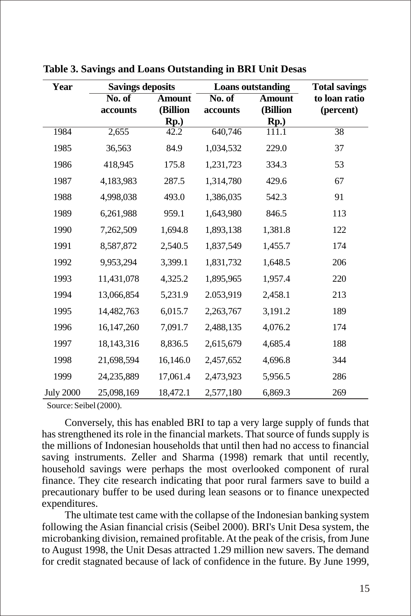| Year             | <b>Savings deposits</b> |               | <b>Loans</b> outstanding   |               | <b>Total savings</b> |
|------------------|-------------------------|---------------|----------------------------|---------------|----------------------|
|                  | No. of                  | <b>Amount</b> | $\overline{\text{No. of}}$ | <b>Amount</b> | to loan ratio        |
|                  | accounts                | (Billion      | accounts                   | (Billion      | (percent)            |
|                  |                         | Rp.)          |                            | Rp.)          |                      |
| 1984             | 2,655                   | 42.2          | 640,746                    | 111.1         | $\overline{38}$      |
| 1985             | 36,563                  | 84.9          | 1,034,532                  | 229.0         | 37                   |
| 1986             | 418,945                 | 175.8         | 1,231,723                  | 334.3         | 53                   |
| 1987             | 4,183,983               | 287.5         | 1,314,780                  | 429.6         | 67                   |
| 1988             | 4,998,038               | 493.0         | 1,386,035                  | 542.3         | 91                   |
| 1989             | 6,261,988               | 959.1         | 1,643,980                  | 846.5         | 113                  |
| 1990             | 7,262,509               | 1,694.8       | 1,893,138                  | 1,381.8       | 122                  |
| 1991             | 8,587,872               | 2,540.5       | 1,837,549                  | 1,455.7       | 174                  |
| 1992             | 9,953,294               | 3,399.1       | 1,831,732                  | 1,648.5       | 206                  |
| 1993             | 11,431,078              | 4,325.2       | 1,895,965                  | 1,957.4       | 220                  |
| 1994             | 13,066,854              | 5,231.9       | 2.053,919                  | 2,458.1       | 213                  |
| 1995             | 14,482,763              | 6,015.7       | 2,263,767                  | 3,191.2       | 189                  |
| 1996             | 16, 147, 260            | 7,091.7       | 2,488,135                  | 4,076.2       | 174                  |
| 1997             | 18,143,316              | 8,836.5       | 2,615,679                  | 4,685.4       | 188                  |
| 1998             | 21,698,594              | 16,146.0      | 2,457,652                  | 4,696.8       | 344                  |
| 1999             | 24,235,889              | 17,061.4      | 2,473,923                  | 5,956.5       | 286                  |
| <b>July 2000</b> | 25,098,169              | 18,472.1      | 2,577,180                  | 6,869.3       | 269                  |

**Table 3. Savings and Loans Outstanding in BRI Unit Desas**

Source: Seibel (2000).

Conversely, this has enabled BRI to tap a very large supply of funds that has strengthened its role in the financial markets. That source of funds supply is the millions of Indonesian households that until then had no access to financial saving instruments. Zeller and Sharma (1998) remark that until recently, household savings were perhaps the most overlooked component of rural finance. They cite research indicating that poor rural farmers save to build a precautionary buffer to be used during lean seasons or to finance unexpected expenditures.

The ultimate test came with the collapse of the Indonesian banking system following the Asian financial crisis (Seibel 2000). BRI's Unit Desa system, the microbanking division, remained profitable. At the peak of the crisis, from June to August 1998, the Unit Desas attracted 1.29 million new savers. The demand for credit stagnated because of lack of confidence in the future. By June 1999,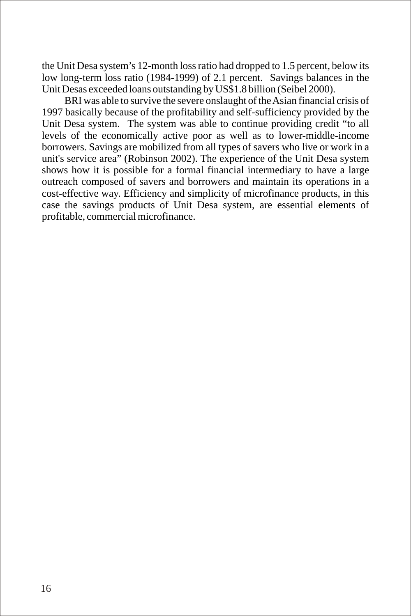the Unit Desa system's 12-month loss ratio had dropped to 1.5 percent, below its low long-term loss ratio (1984-1999) of 2.1 percent. Savings balances in the Unit Desas exceeded loans outstanding by US\$1.8 billion (Seibel 2000).

BRI was able to survive the severe onslaught of the Asian financial crisis of 1997 basically because of the profitability and self-sufficiency provided by the Unit Desa system. The system was able to continue providing credit "to all levels of the economically active poor as well as to lower-middle-income borrowers. Savings are mobilized from all types of savers who live or work in a unit's service area" (Robinson 2002). The experience of the Unit Desa system shows how it is possible for a formal financial intermediary to have a large outreach composed of savers and borrowers and maintain its operations in a cost-effective way. Efficiency and simplicity of microfinance products, in this case the savings products of Unit Desa system, are essential elements of profitable, commercial microfinance.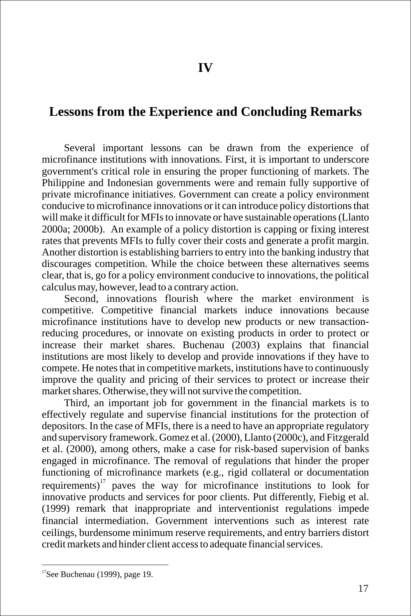## **Lessons from the Experience and Concluding Remarks**

Several important lessons can be drawn from the experience of microfinance institutions with innovations. First, it is important to underscore government's critical role in ensuring the proper functioning of markets. The Philippine and Indonesian governments were and remain fully supportive of private microfinance initiatives. Government can create a policy environment conducive to microfinance innovations or it can introduce policy distortions that will make it difficult for MFIs to innovate or have sustainable operations (Llanto 2000a; 2000b). An example of a policy distortion is capping or fixing interest rates that prevents MFIs to fully cover their costs and generate a profit margin. Another distortion is establishing barriers to entry into the banking industry that discourages competition. While the choice between these alternatives seems clear, that is, go for a policy environment conducive to innovations, the political calculus may, however, lead to a contrary action.

Second, innovations flourish where the market environment is competitive. Competitive financial markets induce innovations because microfinance institutions have to develop new products or new transactionreducing procedures, or innovate on existing products in order to protect or increase their market shares. Buchenau (2003) explains that financial institutions are most likely to develop and provide innovations if they have to compete. He notes that in competitive markets, institutions have to continuously improve the quality and pricing of their services to protect or increase their market shares. Otherwise, they will not survive the competition.

Third, an important job for government in the financial markets is to effectively regulate and supervise financial institutions for the protection of depositors. In the case of MFIs, there is a need to have an appropriate regulatory and supervisory framework. Gomez et al. (2000), Llanto (2000c), and Fitzgerald et al. (2000), among others, make a case for risk-based supervision of banks engaged in microfinance. The removal of regulations that hinder the proper functioning of microfinance markets (e.g., rigid collateral or documentation requirements)<sup> $17$ </sup> paves the way for microfinance institutions to look for innovative products and services for poor clients. Put differently, Fiebig et al. (1999) remark that inappropriate and interventionist regulations impede financial intermediation. Government interventions such as interest rate ceilings, burdensome minimum reserve requirements, and entry barriers distort credit markets and hinder client access to adequate financial services.

 $17$ See Buchenau (1999), page 19.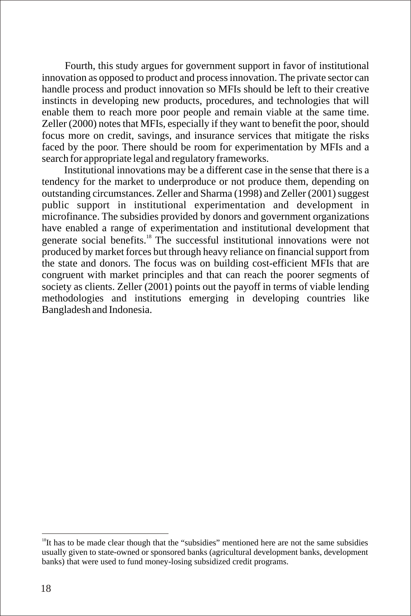Fourth, this study argues for government support in favor of institutional innovation as opposed to product and process innovation. The private sector can handle process and product innovation so MFIs should be left to their creative instincts in developing new products, procedures, and technologies that will enable them to reach more poor people and remain viable at the same time. Zeller (2000) notes that MFIs, especially if they want to benefit the poor, should focus more on credit, savings, and insurance services that mitigate the risks faced by the poor. There should be room for experimentation by MFIs and a search for appropriate legal and regulatory frameworks.

Institutional innovations may be a different case in the sense that there is a tendency for the market to underproduce or not produce them, depending on outstanding circumstances. Zeller and Sharma (1998) and Zeller (2001) suggest public support in institutional experimentation and development in microfinance. The subsidies provided by donors and government organizations have enabled a range of experimentation and institutional development that generate social benefits.<sup>18</sup> The successful institutional innovations were not produced by market forces but through heavy reliance on financial support from the state and donors. The focus was on building cost-efficient MFIs that are congruent with market principles and that can reach the poorer segments of society as clients. Zeller (2001) points out the payoff in terms of viable lending methodologies and institutions emerging in developing countries like Bangladesh and Indonesia.

 $18$ It has to be made clear though that the "subsidies" mentioned here are not the same subsidies usually given to state-owned or sponsored banks (agricultural development banks, development banks) that were used to fund money-losing subsidized credit programs.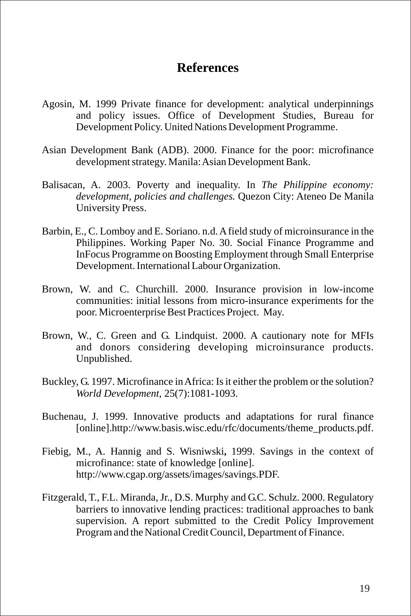## **References**

- Agosin, M. 1999 Private finance for development: analytical underpinnings and policy issues. Office of Development Studies, Bureau for Development Policy. United Nations Development Programme.
- Asian Development Bank (ADB). 2000. Finance for the poor: microfinance development strategy. Manila: Asian Development Bank.
- Balisacan, A. 2003. Poverty and inequality. In *The Philippine economy: development, policies and challenges.* Quezon City: Ateneo De Manila University Press.
- Barbin, E., C. Lomboy and E. Soriano. n.d. A field study of microinsurance in the Philippines. Working Paper No. 30. Social Finance Programme and InFocus Programme on Boosting Employment through Small Enterprise Development. International Labour Organization.
- Brown, W. and C. Churchill. 2000. Insurance provision in low-income communities: initial lessons from micro-insurance experiments for the poor. Microenterprise Best Practices Project. May.
- Brown, W., C. Green and G. Lindquist. 2000. A cautionary note for MFIs and donors considering developing microinsurance products. Unpublished.
- Buckley, G. 1997. Microfinance in Africa: Is it either the problem or the solution? *World Development*, 25(7):1081-1093.
- Buchenau, J. 1999. Innovative products and adaptations for rural finance [online].http://www.basis.wisc.edu/rfc/documents/theme\_products.pdf.
- Fiebig, M., A. Hannig and S. Wisniwski**,** 1999. Savings in the context of microfinance: state of knowledge [online]. http://www.cgap.org/assets/images/savings.PDF.
- Fitzgerald, T., F.L. Miranda, Jr., D.S. Murphy and G.C. Schulz. 2000. Regulatory barriers to innovative lending practices: traditional approaches to bank supervision. A report submitted to the Credit Policy Improvement Program and the National Credit Council, Department of Finance.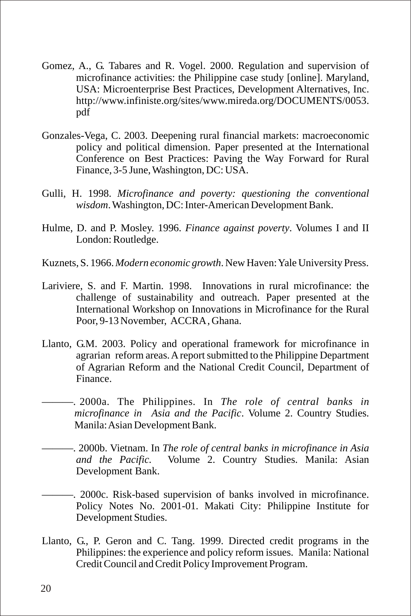- Gomez, A., G. Tabares and R. Vogel. 2000. Regulation and supervision of microfinance activities: the Philippine case study [online]. Maryland, USA: Microenterprise Best Practices, Development Alternatives, Inc. http://www.infiniste.org/sites/www.mireda.org/DOCUMENTS/0053. pdf
- Gonzales-Vega, C. 2003. Deepening rural financial markets: macroeconomic policy and political dimension. Paper presented at the International Conference on Best Practices: Paving the Way Forward for Rural Finance, 3-5 June, Washington, DC: USA.
- Gulli, H. 1998. *Microfinance and poverty: questioning the conventional wisdom*. Washington, DC: Inter-American Development Bank.
- Hulme, D. and P. Mosley. 1996. *Finance against poverty*. Volumes I and II London: Routledge.
- Kuznets, S. 1966. *Modern economic growth*. New Haven: Yale University Press.
- Lariviere, S. and F. Martin. 1998. Innovations in rural microfinance: the challenge of sustainability and outreach. Paper presented at the International Workshop on Innovations in Microfinance for the Rural Poor, 9-13 November, ACCRA , Ghana.
- Llanto, G.M. 2003. Policy and operational framework for microfinance in agrarian reform areas. A report submitted to the Philippine Department of Agrarian Reform and the National Credit Council, Department of Finance.
- ———. 2000a. The Philippines. In *The role of central banks in microfinance in Asia and the Pacific*. Volume 2. Country Studies. Manila: Asian Development Bank.
- ———. 2000b. Vietnam. In *The role of central banks in microfinance in Asia and the Pacific.* Volume 2. Country Studies. Manila: Asian Development Bank.
- ———. 2000c. Risk-based supervision of banks involved in microfinance. Policy Notes No. 2001-01. Makati City: Philippine Institute for Development Studies.
- Llanto, G., P. Geron and C. Tang. 1999. Directed credit programs in the Philippines: the experience and policy reform issues. Manila: National Credit Council and Credit Policy Improvement Program.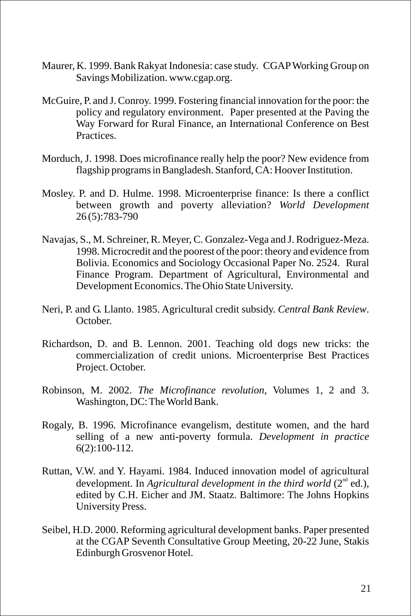- Maurer, K. 1999. Bank Rakyat Indonesia: case study. CGAPWorking Group on Savings Mobilization. www.cgap.org.
- McGuire, P. and J. Conroy. 1999. Fostering financial innovation for the poor: the policy and regulatory environment. Paper presented at the Paving the Way Forward for Rural Finance, an International Conference on Best Practices.
- Morduch, J. 1998. Does microfinance really help the poor? New evidence from flagship programs in Bangladesh. Stanford, CA: Hoover Institution.
- Mosley. P. and D. Hulme. 1998. Microenterprise finance: Is there a conflict between growth and poverty alleviation? *World Development* 26 (5):783-790
- Navajas, S., M. Schreiner, R. Meyer, C. Gonzalez-Vega and J. Rodriguez-Meza. 1998. Microcredit and the poorest of the poor: theory and evidence from Bolivia. Economics and Sociology Occasional Paper No. 2524. Rural Finance Program. Department of Agricultural, Environmental and Development Economics. The Ohio State University.
- Neri, P. and G. Llanto. 1985. Agricultural credit subsidy. *Central Bank Review*. October.
- Richardson, D. and B. Lennon. 2001. Teaching old dogs new tricks: the commercialization of credit unions. Microenterprise Best Practices Project. October.
- Robinson, M. 2002. *The Microfinance revolution,* Volumes 1, 2 and 3. Washington, DC: The World Bank.
- Rogaly, B. 1996. Microfinance evangelism, destitute women, and the hard selling of a new anti-poverty formula. *Development in practice* 6(2):100-112.
- Ruttan, V.W. and Y. Hayami. 1984. Induced innovation model of agricultural development. In *Agricultural development in the third world* (2<sup>nd</sup> ed.), edited by C.H. Eicher and JM. Staatz. Baltimore: The Johns Hopkins University Press.
- Seibel, H.D. 2000. Reforming agricultural development banks. Paper presented at the CGAP Seventh Consultative Group Meeting, 20-22 June, Stakis Edinburgh Grosvenor Hotel.